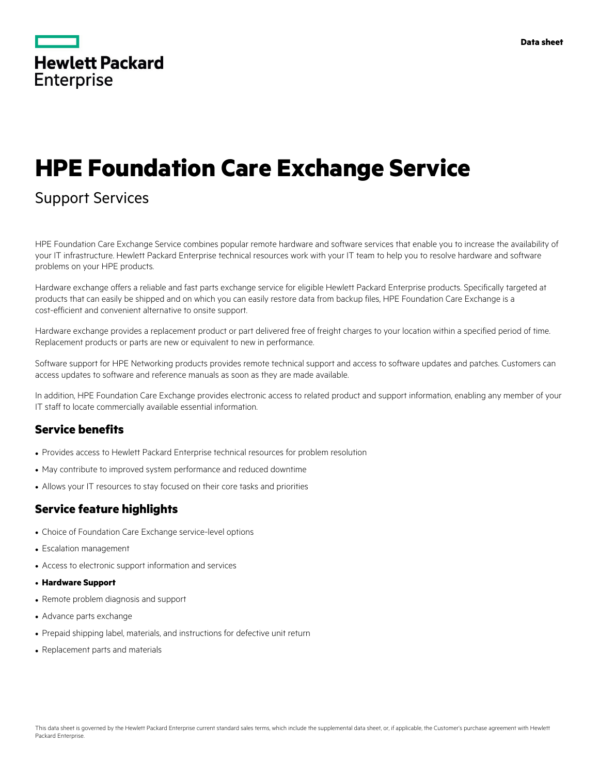|                   | <b>Hewlett Packard</b> |
|-------------------|------------------------|
| <b>Enterprise</b> |                        |

# **HPE Foundation Care Exchange Service**

# Support Services

HPE Foundation Care Exchange Service combines popular remote hardware and software services that enable you to increase the availability of your IT infrastructure. Hewlett Packard Enterprise technical resources work with your IT team to help you to resolve hardware and software problems on your HPE products.

Hardware exchange offers a reliable and fast parts exchange service for eligible Hewlett Packard Enterprise products. Specifically targeted at products that can easily be shipped and on which you can easily restore data from backup files, HPE Foundation Care Exchange is a cost-efficient and convenient alternative to onsite support.

Hardware exchange provides a replacement product or part delivered free of freight charges to your location within a specified period of time. Replacement products or parts are new or equivalent to new in performance.

Software support for HPE Networking products provides remote technical support and access to software updates and patches. Customers can access updates to software and reference manuals as soon as they are made available.

In addition, HPE Foundation Care Exchange provides electronic access to related product and support information, enabling any member of your IT staff to locate commercially available essential information.

#### **Service benefits**

- Provides access to Hewlett Packard Enterprise technical resources for problem resolution
- May contribute to improved system performance and reduced downtime
- Allows your IT resources to stay focused on their core tasks and priorities

# **Service feature highlights**

- Choice of Foundation Care Exchange service-level options
- Escalation management
- Access to electronic support information and services
- **Hardware Support**
- Remote problem diagnosis and support
- Advance parts exchange
- Prepaid shipping label, materials, and instructions for defective unit return
- Replacement parts and materials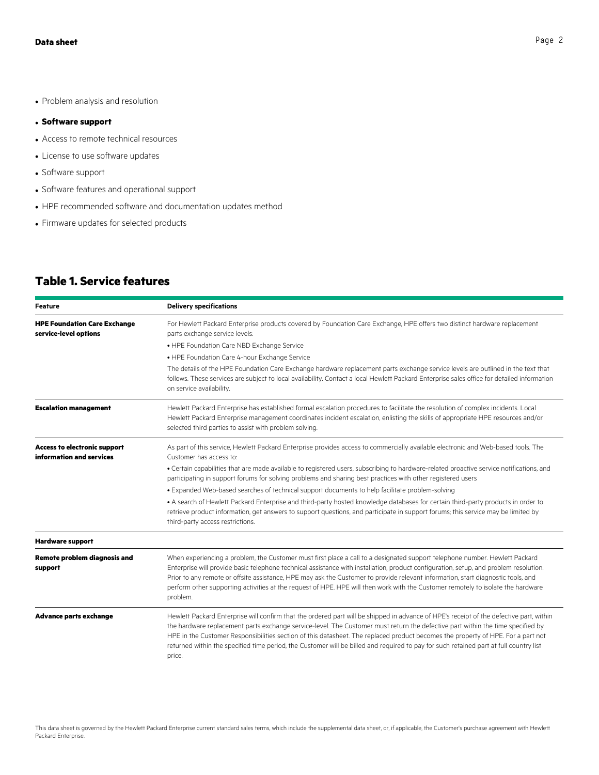• Problem analysis and resolution

#### • **Software support**

- Access to remote technical resources
- License to use software updates
- Software support
- Software features and operational support
- HPE recommended software and documentation updates method
- Firmware updates for selected products

# **Table 1. Service features**

| Feature                                                         | <b>Delivery specifications</b>                                                                                                                                                                                                                                                                                                                                                                                                                                                                                                                                     |
|-----------------------------------------------------------------|--------------------------------------------------------------------------------------------------------------------------------------------------------------------------------------------------------------------------------------------------------------------------------------------------------------------------------------------------------------------------------------------------------------------------------------------------------------------------------------------------------------------------------------------------------------------|
| <b>HPE Foundation Care Exchange</b><br>service-level options    | For Hewlett Packard Enterprise products covered by Foundation Care Exchange, HPE offers two distinct hardware replacement<br>parts exchange service levels:                                                                                                                                                                                                                                                                                                                                                                                                        |
|                                                                 | • HPE Foundation Care NBD Exchange Service                                                                                                                                                                                                                                                                                                                                                                                                                                                                                                                         |
|                                                                 | • HPE Foundation Care 4-hour Exchange Service                                                                                                                                                                                                                                                                                                                                                                                                                                                                                                                      |
|                                                                 | The details of the HPE Foundation Care Exchange hardware replacement parts exchange service levels are outlined in the text that<br>follows. These services are subject to local availability. Contact a local Hewlett Packard Enterprise sales office for detailed information<br>on service availability.                                                                                                                                                                                                                                                        |
| <b>Escalation management</b>                                    | Hewlett Packard Enterprise has established formal escalation procedures to facilitate the resolution of complex incidents. Local<br>Hewlett Packard Enterprise management coordinates incident escalation, enlisting the skills of appropriate HPE resources and/or<br>selected third parties to assist with problem solving.                                                                                                                                                                                                                                      |
| <b>Access to electronic support</b><br>information and services | As part of this service, Hewlett Packard Enterprise provides access to commercially available electronic and Web-based tools. The<br>Customer has access to:                                                                                                                                                                                                                                                                                                                                                                                                       |
|                                                                 | · Certain capabilities that are made available to registered users, subscribing to hardware-related proactive service notifications, and<br>participating in support forums for solving problems and sharing best practices with other registered users                                                                                                                                                                                                                                                                                                            |
|                                                                 | . Expanded Web-based searches of technical support documents to help facilitate problem-solving                                                                                                                                                                                                                                                                                                                                                                                                                                                                    |
|                                                                 | . A search of Hewlett Packard Enterprise and third-party hosted knowledge databases for certain third-party products in order to<br>retrieve product information, get answers to support questions, and participate in support forums; this service may be limited by<br>third-party access restrictions.                                                                                                                                                                                                                                                          |
| <b>Hardware support</b>                                         |                                                                                                                                                                                                                                                                                                                                                                                                                                                                                                                                                                    |
| Remote problem diagnosis and<br>support                         | When experiencing a problem, the Customer must first place a call to a designated support telephone number. Hewlett Packard<br>Enterprise will provide basic telephone technical assistance with installation, product configuration, setup, and problem resolution.<br>Prior to any remote or offsite assistance, HPE may ask the Customer to provide relevant information, start diagnostic tools, and<br>perform other supporting activities at the request of HPE. HPE will then work with the Customer remotely to isolate the hardware<br>problem.           |
| <b>Advance parts exchange</b>                                   | Hewlett Packard Enterprise will confirm that the ordered part will be shipped in advance of HPE's receipt of the defective part, within<br>the hardware replacement parts exchange service-level. The Customer must return the defective part within the time specified by<br>HPE in the Customer Responsibilities section of this datasheet. The replaced product becomes the property of HPE. For a part not<br>returned within the specified time period, the Customer will be billed and required to pay for such retained part at full country list<br>price. |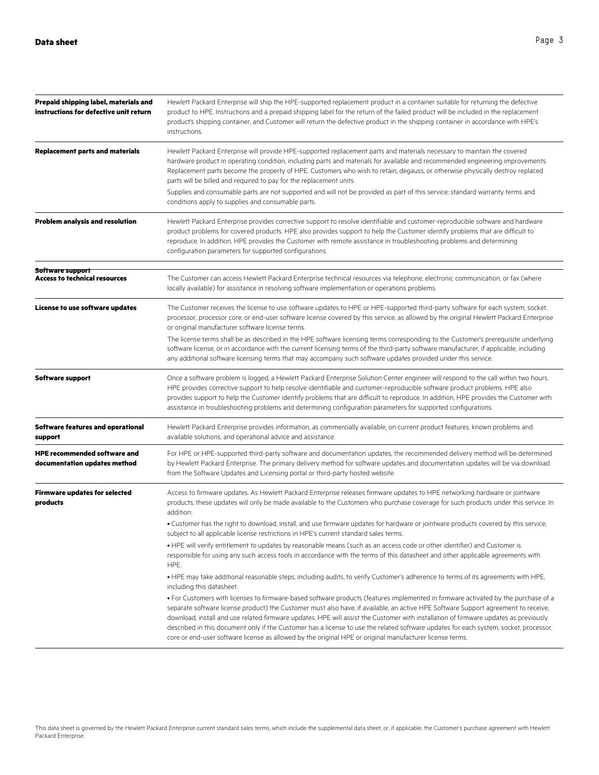| Prepaid shipping label, materials and<br>instructions for defective unit return | Hewlett Packard Enterprise will ship the HPE-supported replacement product in a container suitable for returning the defective<br>product to HPE. Instructions and a prepaid shipping label for the return of the failed product will be included in the replacement<br>product's shipping container, and Customer will return the defective product in the shipping container in accordance with HPE's<br>instructions.                                                                                                                                                                                                                                              |
|---------------------------------------------------------------------------------|-----------------------------------------------------------------------------------------------------------------------------------------------------------------------------------------------------------------------------------------------------------------------------------------------------------------------------------------------------------------------------------------------------------------------------------------------------------------------------------------------------------------------------------------------------------------------------------------------------------------------------------------------------------------------|
| <b>Replacement parts and materials</b>                                          | Hewlett Packard Enterprise will provide HPE-supported replacement parts and materials necessary to maintain the covered<br>hardware product in operating condition, including parts and materials for available and recommended engineering improvements.<br>Replacement parts become the property of HPE. Customers who wish to retain, degauss, or otherwise physically destroy replaced<br>parts will be billed and required to pay for the replacement units.                                                                                                                                                                                                     |
|                                                                                 | Supplies and consumable parts are not supported and will not be provided as part of this service; standard warranty terms and<br>conditions apply to supplies and consumable parts.                                                                                                                                                                                                                                                                                                                                                                                                                                                                                   |
| <b>Problem analysis and resolution</b>                                          | Hewlett Packard Enterprise provides corrective support to resolve identifiable and customer-reproducible software and hardware<br>product problems for covered products. HPE also provides support to help the Customer identify problems that are difficult to<br>reproduce. In addition, HPE provides the Customer with remote assistance in troubleshooting problems and determining<br>configuration parameters for supported configurations.                                                                                                                                                                                                                     |
| Software support<br><b>Access to technical resources</b>                        | The Customer can access Hewlett Packard Enterprise technical resources via telephone, electronic communication, or fax (where<br>locally available) for assistance in resolving software implementation or operations problems.                                                                                                                                                                                                                                                                                                                                                                                                                                       |
| <b>License to use software updates</b>                                          | The Customer receives the license to use software updates to HPE or HPE-supported third-party software for each system, socket,<br>processor, processor core, or end-user software license covered by this service, as allowed by the original Hewlett Packard Enterprise<br>or original manufacturer software license terms.                                                                                                                                                                                                                                                                                                                                         |
|                                                                                 | The license terms shall be as described in the HPE software licensing terms corresponding to the Customer's prerequisite underlying<br>software license, or in accordance with the current licensing terms of the third-party software manufacturer, if applicable, including<br>any additional software licensing terms that may accompany such software updates provided under this service.                                                                                                                                                                                                                                                                        |
| <b>Software support</b>                                                         | Once a software problem is logged, a Hewlett Packard Enterprise Solution Center engineer will respond to the call within two hours.<br>HPE provides corrective support to help resolve identifiable and customer-reproducible software product problems. HPE also<br>provides support to help the Customer identify problems that are difficult to reproduce. In addition, HPE provides the Customer with<br>assistance in troubleshooting problems and determining configuration parameters for supported configurations.                                                                                                                                            |
| <b>Software features and operational</b><br>support                             | Hewlett Packard Enterprise provides information, as commercially available, on current product features, known problems and<br>available solutions, and operational advice and assistance.                                                                                                                                                                                                                                                                                                                                                                                                                                                                            |
| <b>HPE recommended software and</b><br>documentation updates method             | For HPE or HPE-supported third-party software and documentation updates, the recommended delivery method will be determined<br>by Hewlett Packard Enterprise. The primary delivery method for software updates and documentation updates will be via download<br>from the Software Updates and Licensing portal or third-party hosted website.                                                                                                                                                                                                                                                                                                                        |
| <b>Firmware updates for selected</b><br>products                                | Access to firmware updates. As Hewlett Packard Enterprise releases firmware updates to HPE networking hardware or jointware<br>products, these updates will only be made available to the Customers who purchase coverage for such products under this service. In<br>addition:                                                                                                                                                                                                                                                                                                                                                                                       |
|                                                                                 | . Customer has the right to download, install, and use firmware updates for hardware or jointware products covered by this service,<br>subject to all applicable license restrictions in HPE's current standard sales terms.                                                                                                                                                                                                                                                                                                                                                                                                                                          |
|                                                                                 | • HPE will verify entitlement to updates by reasonable means (such as an access code or other identifier) and Customer is<br>responsible for using any such access tools in accordance with the terms of this datasheet and other applicable agreements with<br>HPE.                                                                                                                                                                                                                                                                                                                                                                                                  |
|                                                                                 | . HPE may take additional reasonable steps, including audits, to verify Customer's adherence to terms of its agreements with HPE,<br>including this datasheet.                                                                                                                                                                                                                                                                                                                                                                                                                                                                                                        |
|                                                                                 | • For Customers with licenses to firmware-based software products (features implemented in firmware activated by the purchase of a<br>separate software license product) the Customer must also have, if available, an active HPE Software Support agreement to receive,<br>download, install and use related firmware updates. HPE will assist the Customer with installation of firmware updates as previously<br>described in this document only if the Customer has a license to use the related software updates for each system, socket, processor,<br>core or end-user software license as allowed by the original HPE or original manufacturer license terms. |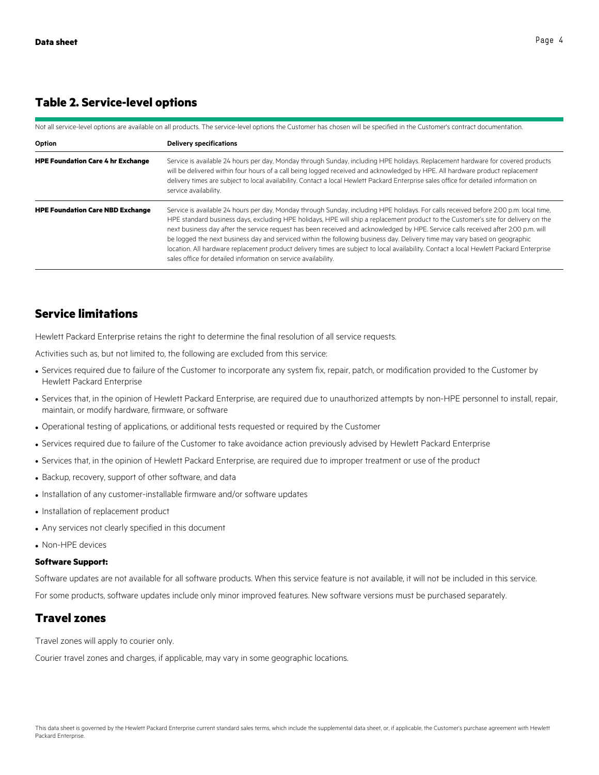#### **Table 2. Service-level options**

| Not all service-level options are available on all products. The service-level options the Customer has chosen will be specified in the Customer's contract documentation. |                                                                                                                                                                                                                                                                                                                                                                                                                                                                                                                                                                                                                                                                                                                                                              |  |
|----------------------------------------------------------------------------------------------------------------------------------------------------------------------------|--------------------------------------------------------------------------------------------------------------------------------------------------------------------------------------------------------------------------------------------------------------------------------------------------------------------------------------------------------------------------------------------------------------------------------------------------------------------------------------------------------------------------------------------------------------------------------------------------------------------------------------------------------------------------------------------------------------------------------------------------------------|--|
| Option                                                                                                                                                                     | <b>Delivery specifications</b>                                                                                                                                                                                                                                                                                                                                                                                                                                                                                                                                                                                                                                                                                                                               |  |
| <b>HPE Foundation Care 4 hr Exchange</b>                                                                                                                                   | Service is available 24 hours per day, Monday through Sunday, including HPE holidays. Replacement hardware for covered products<br>will be delivered within four hours of a call being logged received and acknowledged by HPE. All hardware product replacement<br>delivery times are subject to local availability. Contact a local Hewlett Packard Enterprise sales office for detailed information on<br>service availability.                                                                                                                                                                                                                                                                                                                           |  |
| <b>HPE Foundation Care NBD Exchange</b>                                                                                                                                    | Service is available 24 hours per day, Monday through Sunday, including HPE holidays. For calls received before 2:00 p.m. local time,<br>HPE standard business days, excluding HPE holidays, HPE will ship a replacement product to the Customer's site for delivery on the<br>next business day after the service request has been received and acknowledged by HPE. Service calls received after 2:00 p.m. will<br>be logged the next business day and serviced within the following business day. Delivery time may vary based on geographic<br>location. All hardware replacement product delivery times are subject to local availability. Contact a local Hewlett Packard Enterprise<br>sales office for detailed information on service availability. |  |

### **Service limitations**

Hewlett Packard Enterprise retains the right to determine the final resolution of all service requests.

Activities such as, but not limited to, the following are excluded from this service:

- Services required due to failure of the Customer to incorporate any system fix, repair, patch, or modification provided to the Customer by Hewlett Packard Enterprise
- Services that, in the opinion of Hewlett Packard Enterprise, are required due to unauthorized attempts by non-HPE personnel to install, repair, maintain, or modify hardware, firmware, or software
- Operational testing of applications, or additional tests requested or required by the Customer
- Services required due to failure of the Customer to take avoidance action previously advised by Hewlett Packard Enterprise
- Services that, in the opinion of Hewlett Packard Enterprise, are required due to improper treatment or use of the product
- Backup, recovery, support of other software, and data
- Installation of any customer-installable firmware and/or software updates
- Installation of replacement product
- Any services not clearly specified in this document
- Non-HPE devices

#### **Software Support:**

Software updates are not available for all software products. When this service feature is not available, it will not be included in this service.

For some products, software updates include only minor improved features. New software versions must be purchased separately.

#### **Travel zones**

Travel zones will apply to courier only.

Courier travel zones and charges, if applicable, may vary in some geographic locations.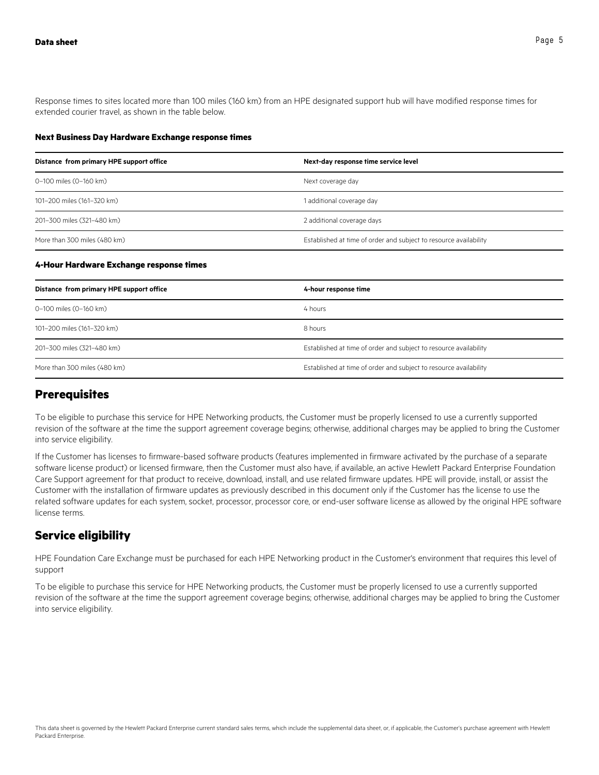Response times to sites located more than 100 miles (160 km) from an HPE designated support hub will have modified response times for extended courier travel, as shown in the table below.

#### **Next Business Day Hardware Exchange response times**

| Distance from primary HPE support office | Next-day response time service level                              |
|------------------------------------------|-------------------------------------------------------------------|
| 0-100 miles (0-160 km)                   | Next coverage day                                                 |
| 101-200 miles (161-320 km)               | 1 additional coverage day                                         |
| 201-300 miles (321-480 km)               | 2 additional coverage days                                        |
| More than 300 miles (480 km)             | Established at time of order and subject to resource availability |

#### **4-Hour Hardware Exchange response times**

| Distance from primary HPE support office | 4-hour response time                                              |
|------------------------------------------|-------------------------------------------------------------------|
| 0-100 miles (0-160 km)                   | 4 hours                                                           |
| 101-200 miles (161-320 km)               | 8 hours                                                           |
| 201-300 miles (321-480 km)               | Established at time of order and subject to resource availability |
| More than 300 miles (480 km)             | Established at time of order and subject to resource availability |

#### **Prerequisites**

To be eligible to purchase this service for HPE Networking products, the Customer must be properly licensed to use a currently supported revision of the software at the time the support agreement coverage begins; otherwise, additional charges may be applied to bring the Customer into service eligibility.

If the Customer has licenses to firmware-based software products (features implemented in firmware activated by the purchase of a separate software license product) or licensed firmware, then the Customer must also have, if available, an active Hewlett Packard Enterprise Foundation Care Support agreement for that product to receive, download, install, and use related firmware updates. HPE will provide, install, or assist the Customer with the installation of firmware updates as previously described in this document only if the Customer has the license to use the related software updates for each system, socket, processor, processor core, or end-user software license as allowed by the original HPE software license terms.

# **Service eligibility**

HPE Foundation Care Exchange must be purchased for each HPE Networking product in the Customer's environment that requires this level of support

To be eligible to purchase this service for HPE Networking products, the Customer must be properly licensed to use a currently supported revision of the software at the time the support agreement coverage begins; otherwise, additional charges may be applied to bring the Customer into service eligibility.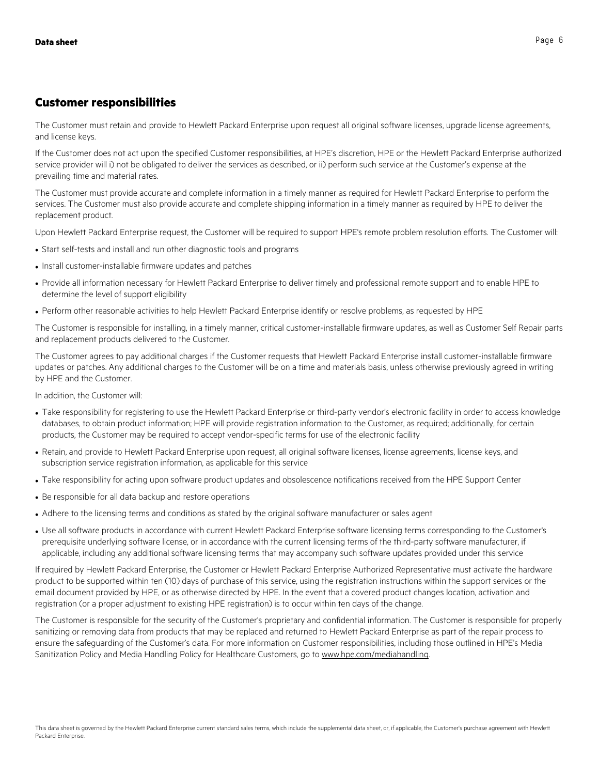#### **Customer responsibilities**

The Customer must retain and provide to Hewlett Packard Enterprise upon request all original software licenses, upgrade license agreements, and license keys.

If the Customer does not act upon the specified Customer responsibilities, at HPE's discretion, HPE or the Hewlett Packard Enterprise authorized service provider will i) not be obligated to deliver the services as described, or ii) perform such service at the Customer's expense at the prevailing time and material rates.

The Customer must provide accurate and complete information in a timely manner as required for Hewlett Packard Enterprise to perform the services. The Customer must also provide accurate and complete shipping information in a timely manner as required by HPE to deliver the replacement product.

Upon Hewlett Packard Enterprise request, the Customer will be required to support HPE's remote problem resolution efforts. The Customer will:

- Start self-tests and install and run other diagnostic tools and programs
- Install customer-installable firmware updates and patches
- Provide all information necessary for Hewlett Packard Enterprise to deliver timely and professional remote support and to enable HPE to determine the level of support eligibility
- Perform other reasonable activities to help Hewlett Packard Enterprise identify or resolve problems, as requested by HPE

The Customer is responsible for installing, in a timely manner, critical customer-installable firmware updates, as well as Customer Self Repair parts and replacement products delivered to the Customer.

The Customer agrees to pay additional charges if the Customer requests that Hewlett Packard Enterprise install customer-installable firmware updates or patches. Any additional charges to the Customer will be on a time and materials basis, unless otherwise previously agreed in writing by HPE and the Customer.

In addition, the Customer will:

- Take responsibility for registering to use the Hewlett Packard Enterprise or third-party vendor's electronic facility in order to access knowledge databases, to obtain product information; HPE will provide registration information to the Customer, as required; additionally, for certain products, the Customer may be required to accept vendor-specific terms for use of the electronic facility
- Retain, and provide to Hewlett Packard Enterprise upon request, all original software licenses, license agreements, license keys, and subscription service registration information, as applicable for this service
- Take responsibility for acting upon software product updates and obsolescence notifications received from the HPE Support Center
- Be responsible for all data backup and restore operations
- Adhere to the licensing terms and conditions as stated by the original software manufacturer or sales agent
- Use all software products in accordance with current Hewlett Packard Enterprise software licensing terms corresponding to the Customer's prerequisite underlying software license, or in accordance with the current licensing terms of the third-party software manufacturer, if applicable, including any additional software licensing terms that may accompany such software updates provided under this service

If required by Hewlett Packard Enterprise, the Customer or Hewlett Packard Enterprise Authorized Representative must activate the hardware product to be supported within ten (10) days of purchase of this service, using the registration instructions within the support services or the email document provided by HPE, or as otherwise directed by HPE. In the event that a covered product changes location, activation and registration (or a proper adjustment to existing HPE registration) is to occur within ten days of the change.

The Customer is responsible for the security of the Customer's proprietary and confidential information. The Customer is responsible for properly sanitizing or removing data from products that may be replaced and returned to Hewlett Packard Enterprise as part of the repair process to ensure the safeguarding of the Customer's data. For more information on Customer responsibilities, including those outlined in HPE's Media Sanitization Policy and Media Handling Policy for Healthcare Customers, go to www.hpe.com/mediahandling.